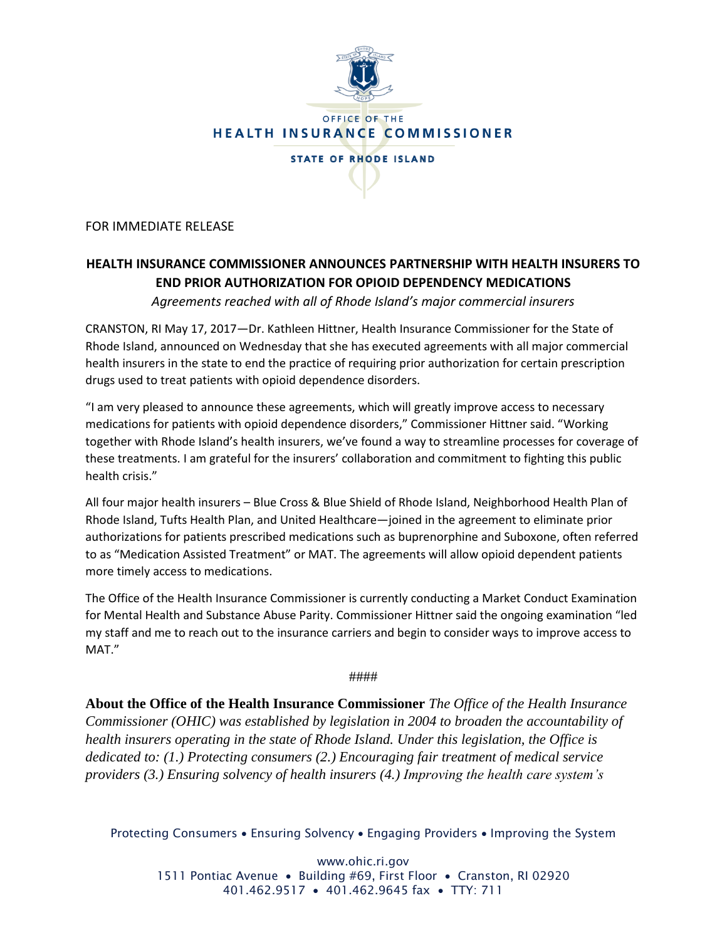

FOR IMMEDIATE RELEASE

## **HEALTH INSURANCE COMMISSIONER ANNOUNCES PARTNERSHIP WITH HEALTH INSURERS TO END PRIOR AUTHORIZATION FOR OPIOID DEPENDENCY MEDICATIONS**

*Agreements reached with all of Rhode Island's major commercial insurers*

CRANSTON, RI May 17, 2017—Dr. Kathleen Hittner, Health Insurance Commissioner for the State of Rhode Island, announced on Wednesday that she has executed agreements with all major commercial health insurers in the state to end the practice of requiring prior authorization for certain prescription drugs used to treat patients with opioid dependence disorders.

"I am very pleased to announce these agreements, which will greatly improve access to necessary medications for patients with opioid dependence disorders," Commissioner Hittner said. "Working together with Rhode Island's health insurers, we've found a way to streamline processes for coverage of these treatments. I am grateful for the insurers' collaboration and commitment to fighting this public health crisis."

All four major health insurers – Blue Cross & Blue Shield of Rhode Island, Neighborhood Health Plan of Rhode Island, Tufts Health Plan, and United Healthcare—joined in the agreement to eliminate prior authorizations for patients prescribed medications such as buprenorphine and Suboxone, often referred to as "Medication Assisted Treatment" or MAT. The agreements will allow opioid dependent patients more timely access to medications.

The Office of the Health Insurance Commissioner is currently conducting a Market Conduct Examination for Mental Health and Substance Abuse Parity. Commissioner Hittner said the ongoing examination "led my staff and me to reach out to the insurance carriers and begin to consider ways to improve access to MAT."

####

**About the Office of the Health Insurance Commissioner** *The Office of the Health Insurance Commissioner (OHIC) was established by legislation in 2004 to broaden the accountability of health insurers operating in the state of Rhode Island. Under this legislation, the Office is dedicated to: (1.) Protecting consumers (2.) Encouraging fair treatment of medical service providers (3.) Ensuring solvency of health insurers (4.) Improving the health care system's* 

Protecting Consumers • Ensuring Solvency • Engaging Providers • Improving the System

www.ohic.ri.gov 1511 Pontiac Avenue • Building #69, First Floor • Cranston, RI 02920 401.462.9517 • 401.462.9645 fax • TTY: 711